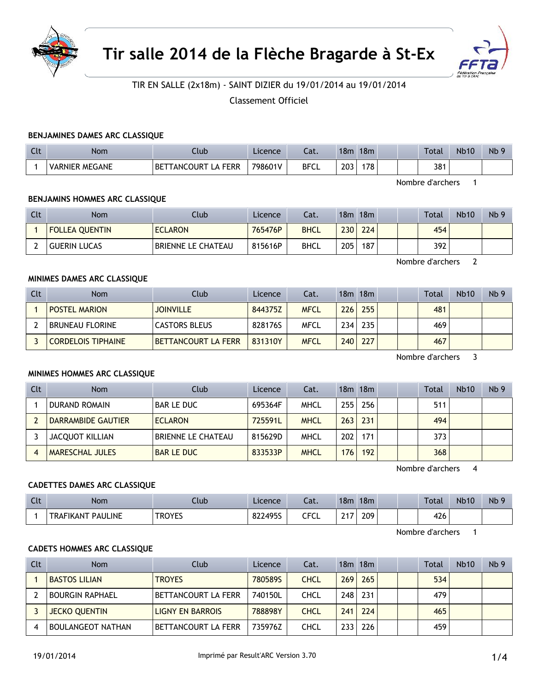



# TIR EN SALLE (2x18m) - SAINT DIZIER du 19/01/2014 au 19/01/2014

Classement Officiel

### **BENJAMINES DAMES ARC CLASSIQUE**

| $C1+$<br><b>LL</b> | Nom                   | Ilub                                     | Licence | Lat.        | 18 <sub>m</sub> | 18 <sub>m</sub> | Total | <b>Nb10</b> | Nb <sub>9</sub> |
|--------------------|-----------------------|------------------------------------------|---------|-------------|-----------------|-----------------|-------|-------------|-----------------|
|                    | <b>VARNIER MEGANE</b> | A FERR<br>TANCOURT L<br><b>BE</b><br>LA. | 798601V | <b>BFCL</b> | 203             | 178             | 381   |             |                 |

Nombre d'archers 1

### **BENJAMINS HOMMES ARC CLASSIQUE**

| Clt | <b>Nom</b>            | Club                      | Licence | Cat.        | 18m | 18m |  | Total | <b>Nb10</b> | Nb <sub>9</sub> |
|-----|-----------------------|---------------------------|---------|-------------|-----|-----|--|-------|-------------|-----------------|
|     | <b>FOLLEA QUENTIN</b> | <b>ECLARON</b>            | 765476P | <b>BHCL</b> | 230 | 224 |  | 454   |             |                 |
|     | <b>GUERIN LUCAS</b>   | <b>BRIENNE LE CHATEAU</b> | 815616P | <b>BHCL</b> | 205 | 187 |  | 392   |             |                 |

Nombre d'archers 2

### **MINIMES DAMES ARC CLASSIQUE**

| Clt | <b>Nom</b>                | <b>Club</b>                | Licence | Cat.        |     | 18m 18m          |  | <b>Total</b> | Nb10 | Nb <sub>9</sub> |
|-----|---------------------------|----------------------------|---------|-------------|-----|------------------|--|--------------|------|-----------------|
|     | <b>POSTEL MARION</b>      | <b>JOINVILLE</b>           | 844375Z | <b>MFCL</b> | 226 | 255              |  | 481          |      |                 |
|     | <b>BRUNEAU FLORINE</b>    | <b>CASTORS BLEUS</b>       | 828176S | MFCL        | 234 | 235 <sub>1</sub> |  | 469          |      |                 |
|     | <b>CORDELOIS TIPHAINE</b> | <b>BETTANCOURT LA FERR</b> | 831310Y | <b>MFCL</b> | 240 | 227              |  | 467          |      |                 |

Nombre d'archers 3

### **MINIMES HOMMES ARC CLASSIQUE**

| Clt | Nom                    | Club                      | Licence | Cat.        |                  | $18m$ 18 $m$ |  | Total | <b>Nb10</b> | Nb <sub>9</sub> |
|-----|------------------------|---------------------------|---------|-------------|------------------|--------------|--|-------|-------------|-----------------|
|     | <b>DURAND ROMAIN</b>   | <b>BAR LE DUC</b>         | 695364F | <b>MHCL</b> | 255              | 256          |  | 511   |             |                 |
|     | DARRAMBIDE GAUTIER     | <b>ECLARON</b>            | 725591L | <b>MHCL</b> | 263              | 231          |  | 494   |             |                 |
|     | <b>JACQUOT KILLIAN</b> | <b>BRIENNE LE CHATEAU</b> | 815629D | <b>MHCL</b> | 202              | 171          |  | 373   |             |                 |
|     | MARESCHAL JULES        | <b>BAR LE DUC</b>         | 833533P | <b>MHCL</b> | 176 <sub>1</sub> | 192          |  | 368   |             |                 |

Nombre d'archers 4

#### **CADETTES DAMES ARC CLASSIQUE**

| Clt | <b>Nom</b>               | .lub   | Licence | Cat.          | 18m | 18 <sub>m</sub> |  | Total | <b>Nb10</b> | Nb |
|-----|--------------------------|--------|---------|---------------|-----|-----------------|--|-------|-------------|----|
|     | <b>TRAFIKANT PAULINE</b> | TROYES | 822495S | CECI<br>しし しし | 247 | 209             |  | 426   |             |    |

Nombre d'archers 1

## **CADETS HOMMES ARC CLASSIQUE**

| Clt | <b>Nom</b>               | Club                    | Licence | Cat.        |     | $18m$ 18 $m$ |  | <b>Total</b> | <b>Nb10</b> | Nb <sub>9</sub> |
|-----|--------------------------|-------------------------|---------|-------------|-----|--------------|--|--------------|-------------|-----------------|
|     | <b>BASTOS LILIAN</b>     | <b>TROYES</b>           | 780589S | <b>CHCL</b> | 269 | 265          |  | 534          |             |                 |
|     | <b>BOURGIN RAPHAEL</b>   | BETTANCOURT LA FERR     | 740150L | <b>CHCL</b> | 248 | 231          |  | 479          |             |                 |
|     | <b>JECKO QUENTIN</b>     | <b>LIGNY EN BARROIS</b> | 788898Y | <b>CHCL</b> | 241 | 224          |  | 465          |             |                 |
|     | <b>BOULANGEOT NATHAN</b> | BETTANCOURT LA FERR     | 735976Z | CHCL        | 233 | 226          |  | 459          |             |                 |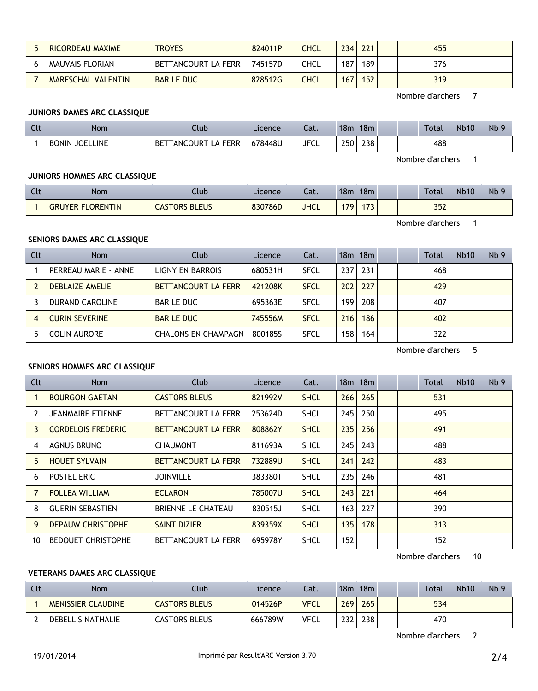| <b>RICORDEAU MAXIME</b> | <b>TROYES</b>       | 824011P | <b>CHCL</b> | 234 | 221              |  | 455 |  |
|-------------------------|---------------------|---------|-------------|-----|------------------|--|-----|--|
| MAUVAIS FLORIAN         | BETTANCOURT LA FERR | 745157D | CHCL        | 187 | 189              |  | 376 |  |
| MARESCHAL VALENTIN      | <b>BAR LE DUC</b>   | 828512G | CHCL        | 167 | 152 <sub>1</sub> |  | 319 |  |

Nombre d'archers 7

## **JUNIORS DAMES ARC CLASSIQUE**

| $\sim$<br>นเ | Nom                             | Club                                                                         | Licence | $\sim$<br>caι. | 18 <sub>m</sub> | 18m | <b>Total</b> | <b>Nb10</b> | Nb <sub>9</sub> |
|--------------|---------------------------------|------------------------------------------------------------------------------|---------|----------------|-----------------|-----|--------------|-------------|-----------------|
|              | <b>JOELLINE</b><br><b>BONIN</b> | <b>FERR</b><br><b><i>FANCOURT</i></b><br>$\overline{\phantom{a}}$ BETT<br>டி | 678448U | <b>JFCL</b>    | 250             | 238 | 488          |             |                 |

Nombre d'archers 1

#### **JUNIORS HOMMES ARC CLASSIQUE**

| $C1+$<br><b>UU</b> | Nom              | Club                 | Licence | ۰.,<br>Lal. | 18 <sub>m</sub> | 18 <sub>m</sub>     |  | <b>Total</b> | <b>Nb10</b> | Nb <sub>9</sub> |
|--------------------|------------------|----------------------|---------|-------------|-----------------|---------------------|--|--------------|-------------|-----------------|
|                    | GRUYER FLORENTIN | <b>CASTORS BLEUS</b> | 830786D | <b>JHCL</b> | חד ו            | $-72$<br>$\sqrt{3}$ |  | 352          |             |                 |

Nombre d'archers 1

### **SENIORS DAMES ARC CLASSIQUE**

| Clt | <b>Nom</b>             | Club                       | Licence | Cat.        |                  | 18m 18m |  | Total | <b>Nb10</b> | Nb <sub>9</sub> |
|-----|------------------------|----------------------------|---------|-------------|------------------|---------|--|-------|-------------|-----------------|
|     | PERREAU MARIE - ANNE   | LIGNY EN BARROIS           | 680531H | <b>SFCL</b> | 237              | 231     |  | 468   |             |                 |
|     | <b>DEBLAIZE AMELIE</b> | <b>BETTANCOURT LA FERR</b> | 421208K | <b>SFCL</b> | 202 <sub>1</sub> | 227     |  | 429   |             |                 |
|     | <b>DURAND CAROLINE</b> | <b>BAR LE DUC</b>          | 695363E | SFCL        | 199              | 208     |  | 407   |             |                 |
| 4   | <b>CURIN SEVERINE</b>  | <b>BAR LE DUC</b>          | 745556M | <b>SFCL</b> | 216              | 186     |  | 402   |             |                 |
|     | COLIN AURORE           | <b>CHALONS EN CHAMPAGN</b> | 8001855 | <b>SFCL</b> | 158              | 164     |  | 322   |             |                 |

Nombre d'archers 5

# **SENIORS HOMMES ARC CLASSIQUE**

| Clt | Nom                       | Club                       | Licence | Cat.        |     | 18m 18m |  | Total | Nb10 | Nb <sub>9</sub> |
|-----|---------------------------|----------------------------|---------|-------------|-----|---------|--|-------|------|-----------------|
|     | <b>BOURGON GAETAN</b>     | <b>CASTORS BLEUS</b>       | 821992V | <b>SHCL</b> | 266 | 265     |  | 531   |      |                 |
| 2   | <b>JEANMAIRE ETIENNE</b>  | BETTANCOURT LA FERR        | 253624D | <b>SHCL</b> | 245 | 250     |  | 495   |      |                 |
| 3.  | <b>CORDELOIS FREDERIC</b> | <b>BETTANCOURT LA FERR</b> | 808862Y | <b>SHCL</b> | 235 | 256     |  | 491   |      |                 |
| 4   | <b>AGNUS BRUNO</b>        | <b>CHAUMONT</b>            | 811693A | <b>SHCL</b> | 245 | 243     |  | 488   |      |                 |
| 5.  | <b>HOUET SYLVAIN</b>      | <b>BETTANCOURT LA FERR</b> | 732889U | <b>SHCL</b> | 241 | 242     |  | 483   |      |                 |
| 6   | POSTEL ERIC               | <b>JOINVILLE</b>           | 383380T | <b>SHCL</b> | 235 | 246     |  | 481   |      |                 |
| 7   | <b>FOLLEA WILLIAM</b>     | <b>ECLARON</b>             | 785007U | <b>SHCL</b> | 243 | 221     |  | 464   |      |                 |
| 8   | <b>GUERIN SEBASTIEN</b>   | <b>BRIENNE LE CHATEAU</b>  | 830515J | <b>SHCL</b> | 163 | 227     |  | 390   |      |                 |
| 9   | <b>DEPAUW CHRISTOPHE</b>  | <b>SAINT DIZIER</b>        | 839359X | <b>SHCL</b> | 135 | 178     |  | 313   |      |                 |
| 10  | <b>BEDOUET CHRISTOPHE</b> | BETTANCOURT LA FERR        | 695978Y | <b>SHCL</b> | 152 |         |  | 152   |      |                 |

Nombre d'archers 10

# **VETERANS DAMES ARC CLASSIQUE**

| Clt | Nom                       | Club                 | Licence | Cat.        | 18m              | 18m | Total | <b>Nb10</b> | Nb <sub>9</sub> |
|-----|---------------------------|----------------------|---------|-------------|------------------|-----|-------|-------------|-----------------|
|     | <b>MENISSIER CLAUDINE</b> | <b>CASTORS BLEUS</b> | 014526P | <b>VFCL</b> | 269              | 265 | 534   |             |                 |
|     | DEBELLIS NATHALIE         | <b>CASTORS BLEUS</b> | 666789W | <b>VFCL</b> | 232 <sub>1</sub> | 238 | 470   |             |                 |

Nombre d'archers 2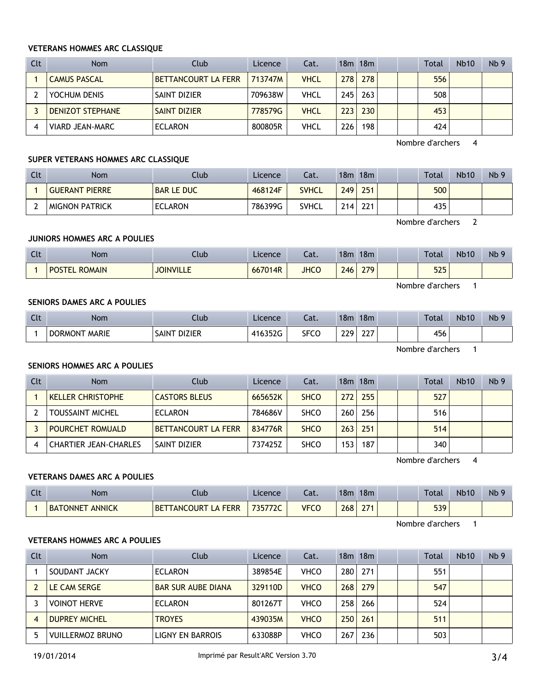#### **VETERANS HOMMES ARC CLASSIQUE**

| Clt | <b>Nom</b>              | Club                       | Licence | Cat. |     | $18m$ 18 $m$ |  | Total | <b>Nb10</b> | Nb <sub>9</sub> |
|-----|-------------------------|----------------------------|---------|------|-----|--------------|--|-------|-------------|-----------------|
|     | <b>CAMUS PASCAL</b>     | <b>BETTANCOURT LA FERR</b> | 713747M | VHCL | 278 | 278          |  | 556   |             |                 |
|     | YOCHUM DENIS            | SAINT DIZIER               | 709638W | VHCL | 245 | 263          |  | 508   |             |                 |
|     | <b>DENIZOT STEPHANE</b> | <b>SAINT DIZIER</b>        | 778579G | VHCL | 223 | 230          |  | 453   |             |                 |
| 4   | <b>VIARD JEAN-MARC</b>  | <b>ECLARON</b>             | 800805R | VHCL | 226 | 198          |  | 424   |             |                 |

Nombre d'archers 4

#### **SUPER VETERANS HOMMES ARC CLASSIQUE**

| Clt | Nom                   | Ilub              | Licence | Cat.         | 18m              | 18m | Total | <b>Nb10</b> | Nb <sub>9</sub> |
|-----|-----------------------|-------------------|---------|--------------|------------------|-----|-------|-------------|-----------------|
|     | <b>GUERANT PIERRE</b> | <b>BAR LE DUC</b> | 468124F | <b>SVHCL</b> | 249              | 251 | 500   |             |                 |
|     | <b>MIGNON PATRICK</b> | <b>ECLARON</b>    | 786399G | <b>SVHCL</b> | 214 <sub>1</sub> | 221 | 435   |             |                 |

Nombre d'archers 2

# **JUNIORS HOMMES ARC A POULIES**

| Clt | <b>Nom</b>                     | Club             | Licence | Cat.        | 18m | 18 <sub>m</sub> |  | Total | <b>Nb10</b> | Nb <sub>9</sub> |
|-----|--------------------------------|------------------|---------|-------------|-----|-----------------|--|-------|-------------|-----------------|
|     | <b>POSTEI</b><br><b>ROMAIN</b> | <b>JOINVILLE</b> | 667014R | <b>JHCO</b> | 246 | 279             |  | 525   |             |                 |

Nombre d'archers 1

## **SENIORS DAMES ARC A POULIES**

| $C1+$<br>$\overline{\phantom{a}}$ | <b>Nom</b>       | Club                         | Licence                   | Lat.        | 18 <sub>m</sub> | 18m                        |  | <b>Total</b> | <b>Nb10</b> | Nb <sub>9</sub> |
|-----------------------------------|------------------|------------------------------|---------------------------|-------------|-----------------|----------------------------|--|--------------|-------------|-----------------|
|                                   | MARIE<br>DORMONT | <b>DIZIER</b><br><b>SAIN</b> | A16352G<br><b>HIUJJLU</b> | <b>SFCC</b> | 229             | $\sim$ $\sim$ $\sim$<br>∠∠ |  | 456          |             |                 |

Nombre d'archers 1

## **SENIORS HOMMES ARC A POULIES**

| Clt | <b>Nom</b>                   | Club                 | Licence | Cat.        |                  | $18m$ 18 $m$ |  | Total | <b>Nb10</b> | Nb <sub>9</sub> |
|-----|------------------------------|----------------------|---------|-------------|------------------|--------------|--|-------|-------------|-----------------|
|     | <b>KELLER CHRISTOPHE</b>     | <b>CASTORS BLEUS</b> | 665652K | <b>SHCO</b> | 272              | 255          |  | 527   |             |                 |
|     | <b>TOUSSAINT MICHEL</b>      | <b>ECLARON</b>       | 784686V | <b>SHCO</b> | 260 <sub>1</sub> | 256          |  | 516   |             |                 |
|     | <b>POURCHET ROMUALD</b>      | BETTANCOURT LA FERR  | 834776R | <b>SHCO</b> | 263              | 251          |  | 514   |             |                 |
|     | <b>CHARTIER JEAN-CHARLES</b> | <b>SAINT DIZIER</b>  | 737425Z | <b>SHCO</b> | 153.             | 187          |  | 340   |             |                 |

Nombre d'archers 4

### **VETERANS DAMES ARC A POULIES**

| $\Gamma$<br>. u | <b>Nom</b>                       | Club                                              | Licence | Cat. | 18 <sub>m</sub> | 18 <sub>m</sub> |  | <b>Total</b> | <b>Nb10</b> | N <sub>b</sub> 9 |
|-----------------|----------------------------------|---------------------------------------------------|---------|------|-----------------|-----------------|--|--------------|-------------|------------------|
|                 | <b>ANNICK</b><br><b>BATONNET</b> | <b>FERR</b><br><b>ANCOURT</b><br><b>BET</b><br>LA | 735772C | VFCC | 268             | つフィ             |  | 539          |             |                  |

Nombre d'archers 1

## **VETERANS HOMMES ARC A POULIES**

| Clt | <b>Nom</b>              | Club                      | Licence | Cat.        |     | 18m 18m |  | Total | <b>Nb10</b> | Nb <sub>9</sub> |
|-----|-------------------------|---------------------------|---------|-------------|-----|---------|--|-------|-------------|-----------------|
|     | SOUDANT JACKY           | <b>ECLARON</b>            | 389854E | <b>VHCO</b> | 280 | 271     |  | 551   |             |                 |
|     | LE CAM SERGE            | <b>BAR SUR AUBE DIANA</b> | 329110D | <b>VHCO</b> | 268 | 279     |  | 547   |             |                 |
|     | <b>VOINOT HERVE</b>     | <b>ECLARON</b>            | 801267T | <b>VHCO</b> | 258 | 266     |  | 524   |             |                 |
|     | <b>DUPREY MICHEL</b>    | <b>TROYES</b>             | 439035M | <b>VHCO</b> | 250 | 261     |  | 511   |             |                 |
|     | <b>VUILLERMOZ BRUNO</b> | LIGNY EN BARROIS          | 633088P | <b>VHCO</b> | 267 | 236     |  | 503   |             |                 |